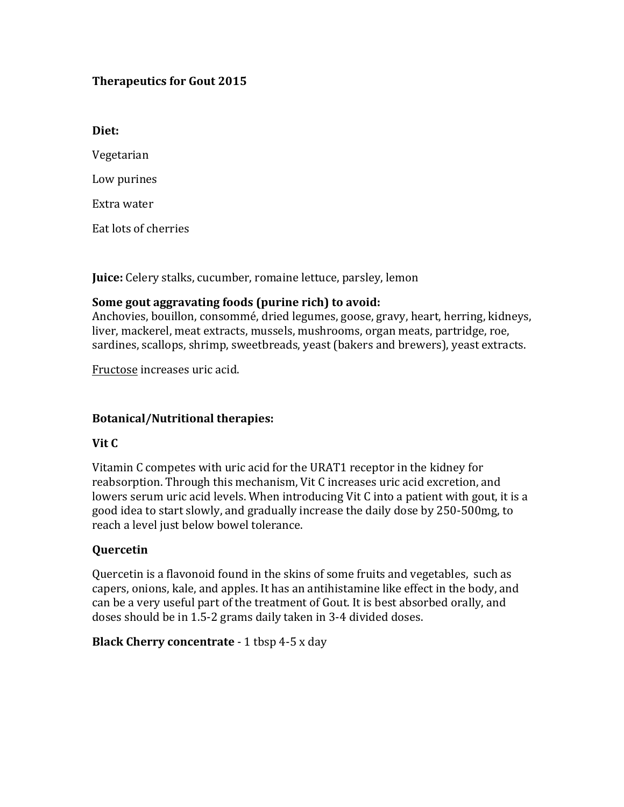## **Therapeutics for Gout 2015**

Diet:

Vegetarian 

Low purines

Extra water

Eat lots of cherries

**Juice:** Celery stalks, cucumber, romaine lettuce, parsley, lemon

### Some gout aggravating foods (purine rich) to avoid:

Anchovies, bouillon, consommé, dried legumes, goose, gravy, heart, herring, kidneys, liver, mackerel, meat extracts, mussels, mushrooms, organ meats, partridge, roe, sardines, scallops, shrimp, sweetbreads, yeast (bakers and brewers), yeast extracts.

Fructose increases uric acid.

## **Botanical/Nutritional therapies:**

## **Vit** C

Vitamin C competes with uric acid for the URAT1 receptor in the kidney for reabsorption. Through this mechanism, Vit C increases uric acid excretion, and lowers serum uric acid levels. When introducing Vit C into a patient with gout, it is a good idea to start slowly, and gradually increase the daily dose by 250-500mg, to reach a level just below bowel tolerance.

## **Quercetin**

Quercetin is a flavonoid found in the skins of some fruits and vegetables, such as capers, onions, kale, and apples. It has an antihistamine like effect in the body, and can be a very useful part of the treatment of Gout. It is best absorbed orally, and doses should be in 1.5-2 grams daily taken in 3-4 divided doses.

## **Black Cherry concentrate** - 1 tbsp 4-5 x day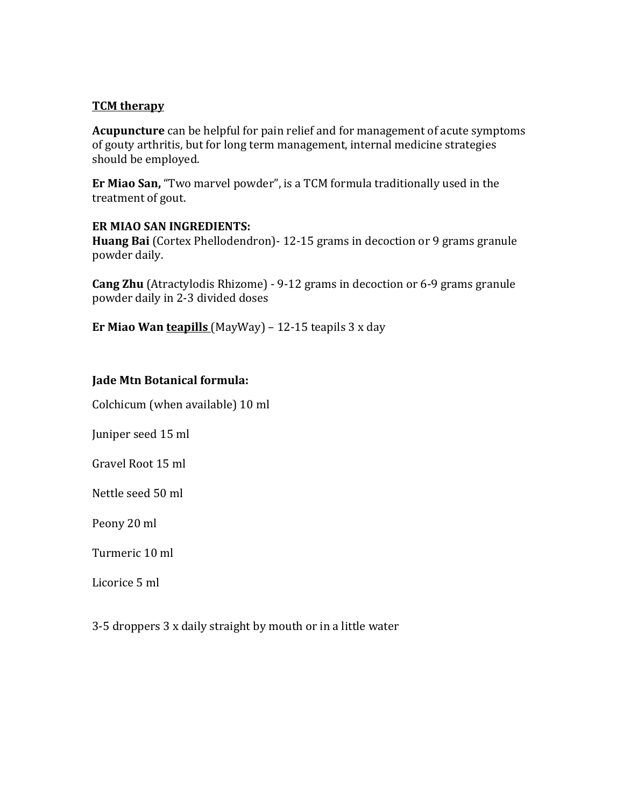## **TCM** therapy

**Acupuncture** can be helpful for pain relief and for management of acute symptoms of gouty arthritis, but for long term management, internal medicine strategies should be employed.

**Er Miao San,** "Two marvel powder", is a TCM formula traditionally used in the treatment of gout.

### **ER MIAO SAN INGREDIENTS:**

**Huang Bai** (Cortex Phellodendron) - 12-15 grams in decoction or 9 grams granule powder daily.

**Cang Zhu** (Atractylodis Rhizome) - 9-12 grams in decoction or 6-9 grams granule powder daily in 2-3 divided doses

**Er Miao Wan teapills** (MayWay)  $- 12-15$  teapils  $3 \times day$ 

## **Jade Mtn Botanical formula:**

Colchicum (when available) 10 ml

Juniper seed 15 ml

Gravel Root 15 ml

Nettle seed 50 ml

Peony 20 ml

Turmeric 10 ml

Licorice 5 ml

 $3-5$  droppers  $3x$  daily straight by mouth or in a little water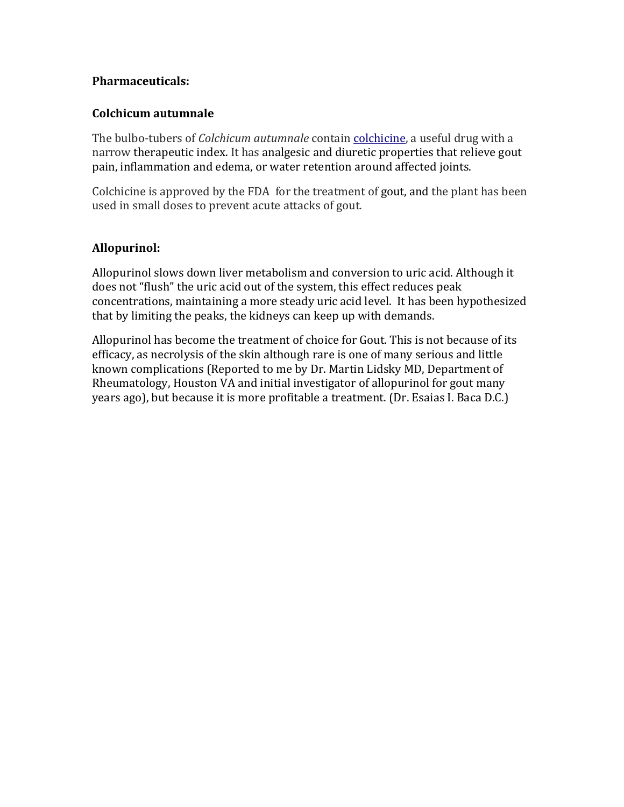## **Pharmaceuticals:**

#### **Colchicum autumnale**

The bulbo-tubers of *Colchicum autumnale* contain colchicine, a useful drug with a narrow therapeutic index. It has analgesic and diuretic properties that relieve gout pain, inflammation and edema, or water retention around affected joints.

Colchicine is approved by the FDA for the treatment of gout, and the plant has been used in small doses to prevent acute attacks of gout.

## **Allopurinol:**

Allopurinol slows down liver metabolism and conversion to uric acid. Although it does not "flush" the uric acid out of the system, this effect reduces peak concentrations, maintaining a more steady uric acid level. It has been hypothesized that by limiting the peaks, the kidneys can keep up with demands.

Allopurinol has become the treatment of choice for Gout. This is not because of its efficacy, as necrolysis of the skin although rare is one of many serious and little known complications (Reported to me by Dr. Martin Lidsky MD, Department of Rheumatology, Houston VA and initial investigator of allopurinol for gout many years ago), but because it is more profitable a treatment. (Dr. Esaias I. Baca D.C.)